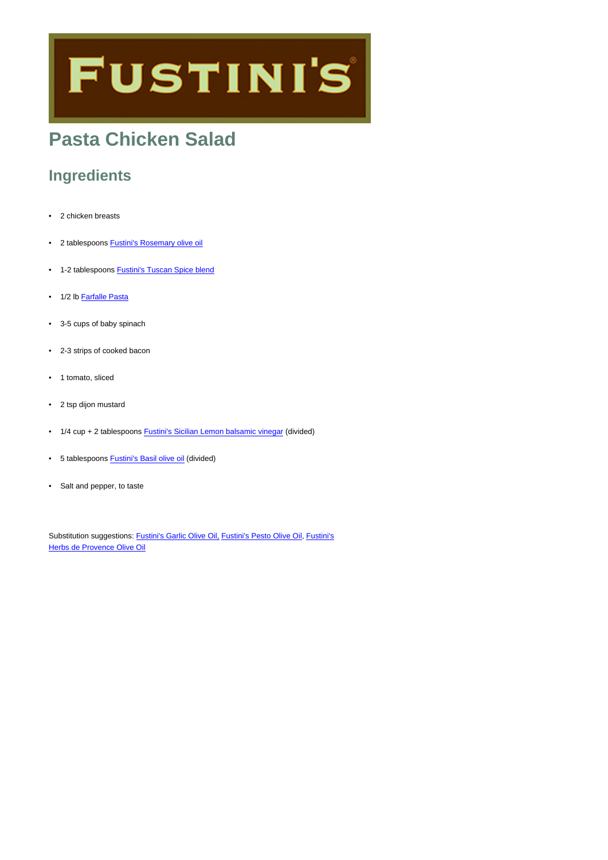# **FUSTINI'S**

# **Pasta Chicken Salad**

## **Ingredients**

- 2 chicken breasts
- 2 tablespoons [Fustini's Rosemary olive oil](https://www.fustinis.com/oils/infused-extra-virgin-olive-oils/rosemary/)
- 1-2 tablespoons [Fustini's Tuscan Spice blend](https://www.fustinis.com/order/organic-tuscan_495/)
- 1/2 lb [Farfalle Pasta](https://www.fustinis.com/order/category/pantry-items/pasta_16/)
- 3-5 cups of baby spinach
- 2-3 strips of cooked bacon
- 1 tomato, sliced
- 2 tsp dijon mustard
- 1/4 cup + 2 tablespoons **[Fustini's Sicilian Lemon balsamic vinegar](https://www.fustinis.com/vinegars/balsamic-vinegars/sicilian-lemon/)** (divided)
- 5 tablespoons **Fustini's Basil olive oil** (divided)
- Salt and pepper, to taste

Substitution suggestions: [Fustini's Garlic Olive Oil,](https://www.fustinis.com/order/garlic_86/) [Fustini's Pesto Olive Oil,](https://www.fustinis.com/order/pesto_488/) [Fustini's](https://www.fustinis.com/order/herbs-de-provence_166/) [Herbs de Provence Olive Oil](https://www.fustinis.com/order/herbs-de-provence_166/)